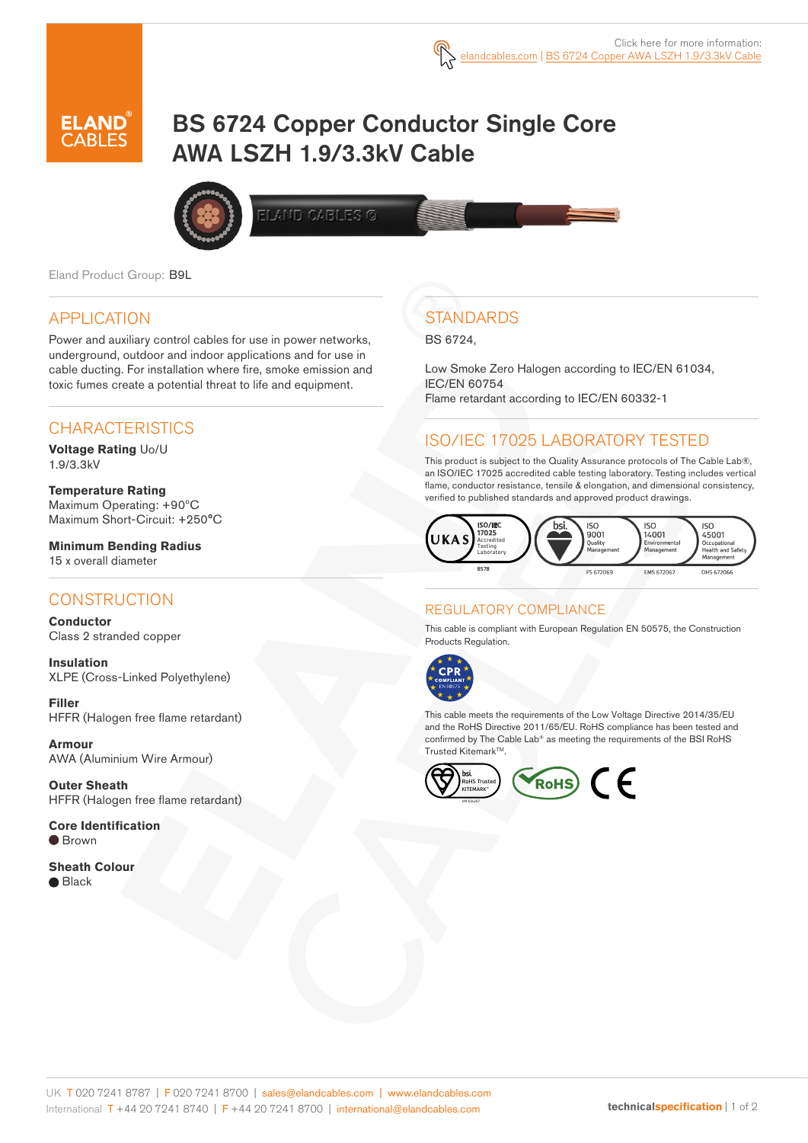

# BS 6724 Copper Conductor Single Core AWA LSZH 1.9/3.3kV Cable



**LAND CABLES ©** 

Eland Product Group: B9L

## APPLICATION

Power and auxiliary control cables for use in power networks, underground, outdoor and indoor applications and for use in cable ducting. For installation where fire, smoke emission and toxic fumes create a potential threat to life and equipment.

## CHARACTERISTICS

**Voltage Rating** Uo/U 1.9/3.3kV

**Temperature Rating** Maximum Operating: +90ºC Maximum Short-Circuit: +250°C

**Minimum Bending Radius**  15 x overall diameter

### **CONSTRUCTION**

**Conductor** Class 2 stranded copper

**Insulation** XLPE (Cross-Linked Polyethylene)

**Filler**  HFFR (Halogen free flame retardant)

**Armour** AWA (Aluminium Wire Armour)

**Outer Sheath** HFFR (Halogen free flame retardant)

**Core Identification**  $\bullet$  Brown

**Sheath Colour**  $\bullet$  Black

## **STANDARDS**

BS 6724,

Low Smoke Zero Halogen according to IEC/EN 61034, IEC/EN 60754 Flame retardant according to IEC/EN 60332-1

## ISO/IEC 17025 LABORATORY TESTED

This product is subject to the Quality Assurance protocols of The Cable Lab®, an ISO/IEC 17025 accredited cable testing laboratory. Testing includes vertical flame, conductor resistance, tensile & elongation, and dimensional consistency, verified to published standards and approved product drawings.



#### REGULATORY COMPLIANCE

This cable is compliant with European Regulation EN 50575, the Construction Products Regulation.



This cable meets the requirements of the Low Voltage Directive 2014/35/EU and the RoHS Directive 2011/65/EU. RoHS compliance has been tested and confirmed by The Cable Lab® as meeting the requirements of the BSI RoHS Trusted Kitemark™.